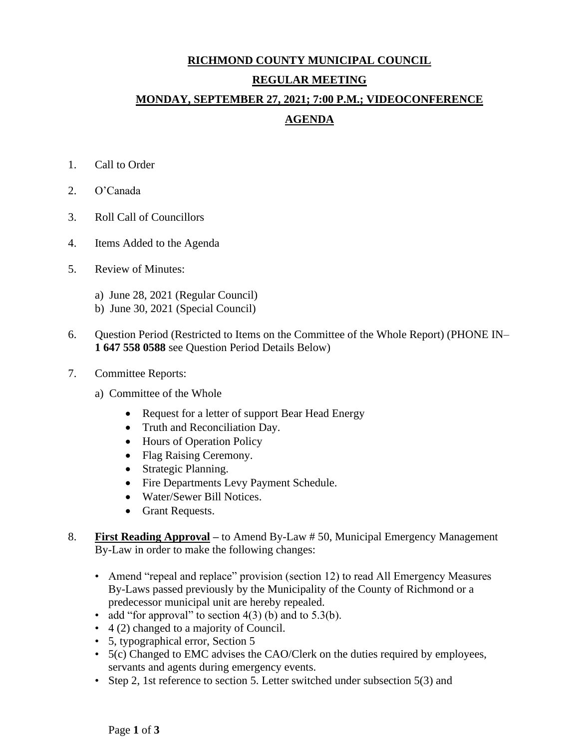## **RICHMOND COUNTY MUNICIPAL COUNCIL REGULAR MEETING MONDAY, SEPTEMBER 27, 2021; 7:00 P.M.; VIDEOCONFERENCE**

## **AGENDA**

- 1. Call to Order
- 2. O'Canada
- 3. Roll Call of Councillors
- 4. Items Added to the Agenda
- 5. Review of Minutes:
	- a) June 28, 2021 (Regular Council)
	- b) June 30, 2021 (Special Council)
- 6. Question Period (Restricted to Items on the Committee of the Whole Report) (PHONE IN– **1 647 558 0588** see Question Period Details Below)
- 7. Committee Reports:
	- a) Committee of the Whole
		- Request for a letter of support Bear Head Energy
		- Truth and Reconciliation Day.
		- Hours of Operation Policy
		- Flag Raising Ceremony.
		- Strategic Planning.
		- Fire Departments Levy Payment Schedule.
		- Water/Sewer Bill Notices.
		- Grant Requests.
- 8. **First Reading Approval –** to Amend By-Law # 50, Municipal Emergency Management By-Law in order to make the following changes:
	- Amend "repeal and replace" provision (section 12) to read All Emergency Measures By-Laws passed previously by the Municipality of the County of Richmond or a predecessor municipal unit are hereby repealed.
	- add "for approval" to section  $4(3)$  (b) and to  $5.3(b)$ .
	- 4 (2) changed to a majority of Council.
	- 5, typographical error, Section 5
	- 5(c) Changed to EMC advises the CAO/Clerk on the duties required by employees, servants and agents during emergency events.
	- Step 2, 1st reference to section 5. Letter switched under subsection 5(3) and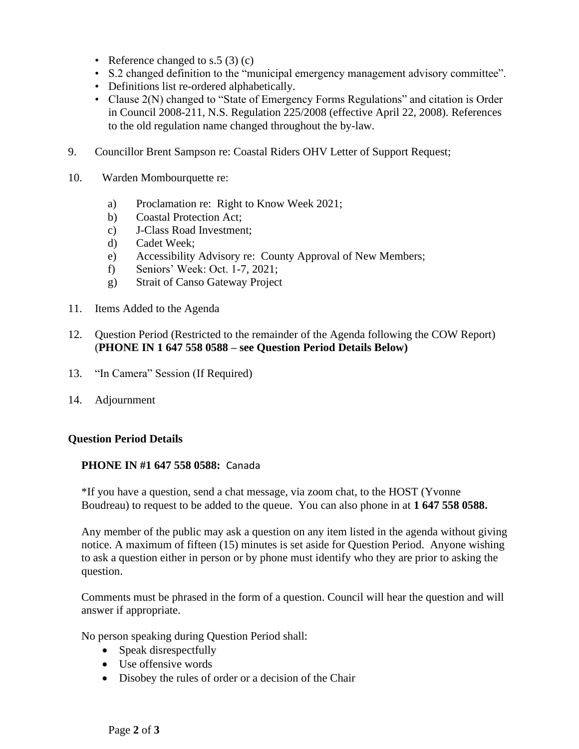- Reference changed to s.5  $(3)$  (c)
- S.2 changed definition to the "municipal emergency management advisory committee".
- Definitions list re-ordered alphabetically.
- Clause 2(N) changed to "State of Emergency Forms Regulations" and citation is Order in Council 2008-211, N.S. Regulation 225/2008 (effective April 22, 2008). References to the old regulation name changed throughout the by-law.
- 9. Councillor Brent Sampson re: Coastal Riders OHV Letter of Support Request;
- 10. Warden Mombourquette re:
	- a) Proclamation re: Right to Know Week 2021;
	- b) Coastal Protection Act;
	- c) J-Class Road Investment;
	- d) Cadet Week;
	- e) Accessibility Advisory re: County Approval of New Members;
	- f) Seniors' Week: Oct. 1-7, 2021;
	- g) Strait of Canso Gateway Project
- 11. Items Added to the Agenda
- 12. Question Period (Restricted to the remainder of the Agenda following the COW Report) (**PHONE IN 1 647 558 0588 – see Question Period Details Below)**
- 13. "In Camera" Session (If Required)
- 14. Adjournment

## **Question Period Details**

## **PHONE IN #1 647 558 0588:** Canada

\*If you have a question, send a chat message, via zoom chat, to the HOST (Yvonne Boudreau) to request to be added to the queue. You can also phone in at **1 647 558 0588.**

Any member of the public may ask a question on any item listed in the agenda without giving notice. A maximum of fifteen (15) minutes is set aside for Question Period. Anyone wishing to ask a question either in person or by phone must identify who they are prior to asking the question.

Comments must be phrased in the form of a question. Council will hear the question and will answer if appropriate.

No person speaking during Question Period shall:

- Speak disrespectfully
- Use offensive words
- Disobey the rules of order or a decision of the Chair